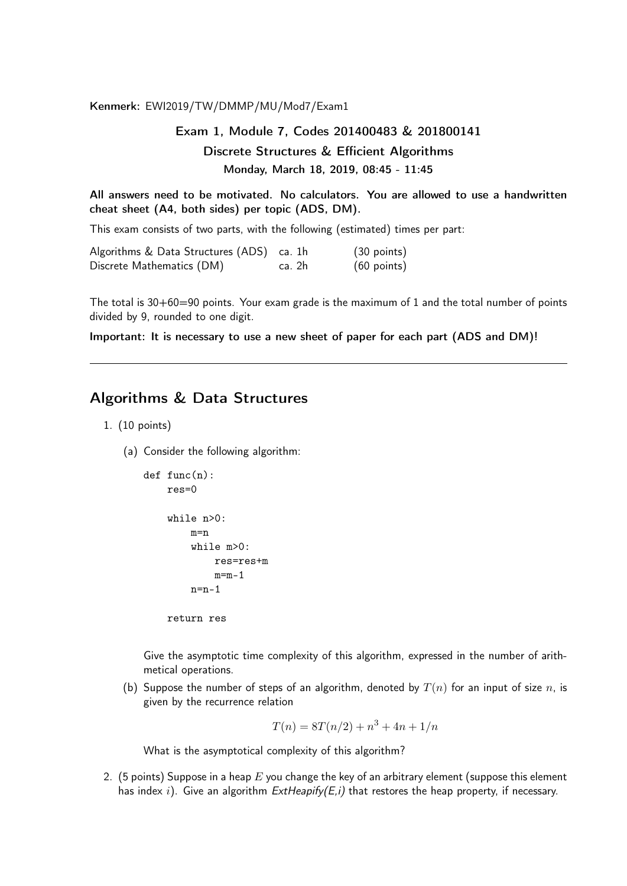Kenmerk: EWI2019/TW/DMMP/MU/Mod7/Exam1

## Exam 1, Module 7, Codes 201400483 & 201800141 Discrete Structures & Efficient Algorithms Monday, March 18, 2019, 08:45 - 11:45

All answers need to be motivated. No calculators. You are allowed to use a handwritten cheat sheet (A4, both sides) per topic (ADS, DM).

This exam consists of two parts, with the following (estimated) times per part:

| Algorithms & Data Structures (ADS) ca. 1h |        | $(30 \text{ points})$ |  |
|-------------------------------------------|--------|-----------------------|--|
| Discrete Mathematics (DM)                 | ca. 2h | $(60$ points)         |  |

The total is 30+60=90 points. Your exam grade is the maximum of 1 and the total number of points divided by 9, rounded to one digit.

Important: It is necessary to use a new sheet of paper for each part (ADS and DM)!

## Algorithms & Data Structures

- 1. (10 points)
	- (a) Consider the following algorithm:

```
def func(n):
res=0
while n>0:
    m=n
    while m>0:
        res=res+m
        m=m-1n=n-1
```
return res

Give the asymptotic time complexity of this algorithm, expressed in the number of arithmetical operations.

(b) Suppose the number of steps of an algorithm, denoted by  $T(n)$  for an input of size n, is given by the recurrence relation

$$
T(n) = 8T(n/2) + n^3 + 4n + 1/n
$$

What is the asymptotical complexity of this algorithm?

2. (5 points) Suppose in a heap  $E$  you change the key of an arbitrary element (suppose this element has index i). Give an algorithm  $ExtHeapify(E,i)$  that restores the heap property, if necessary.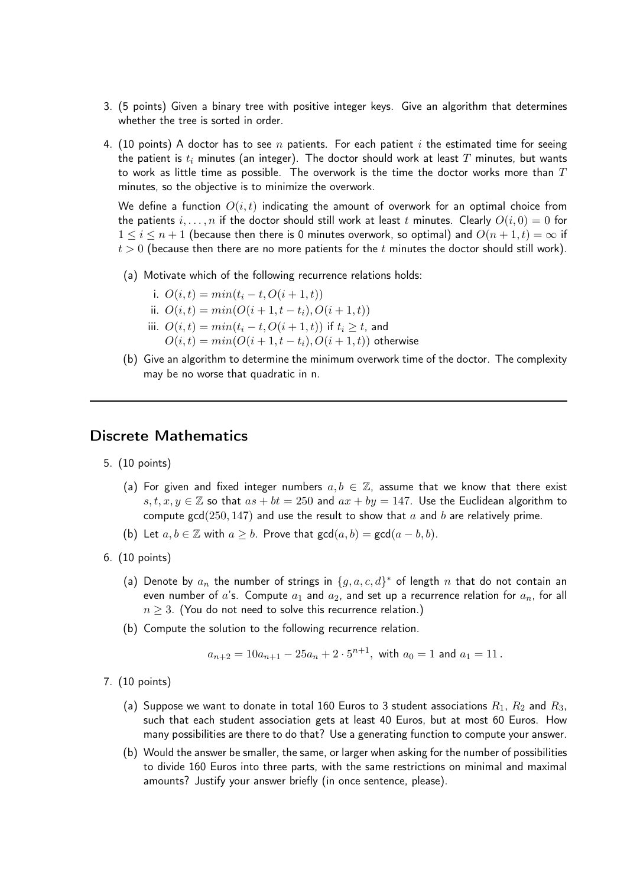- 3. (5 points) Given a binary tree with positive integer keys. Give an algorithm that determines whether the tree is sorted in order.
- 4. (10 points) A doctor has to see n patients. For each patient i the estimated time for seeing the patient is  $t_i$  minutes (an integer). The doctor should work at least T minutes, but wants to work as little time as possible. The overwork is the time the doctor works more than  $T$ minutes, so the objective is to minimize the overwork.

We define a function  $O(i, t)$  indicating the amount of overwork for an optimal choice from the patients  $i, \ldots, n$  if the doctor should still work at least t minutes. Clearly  $O(i, 0) = 0$  for  $1 \leq i \leq n+1$  (because then there is 0 minutes overwork, so optimal) and  $O(n+1,t) = \infty$  if  $t > 0$  (because then there are no more patients for the t minutes the doctor should still work).

- (a) Motivate which of the following recurrence relations holds:
	- i.  $O(i,t) = min(t_i t, O(i + 1, t))$
	- ii.  $O(i, t) = min(O(i + 1, t t_i), O(i + 1, t))$
	- iii.  $O(i,t) = min(t_i t, O(i + 1, t))$  if  $t_i \geq t$ , and
		- $O(i, t) = min(O(i + 1, t t_i), O(i + 1, t))$  otherwise
- (b) Give an algorithm to determine the minimum overwork time of the doctor. The complexity may be no worse that quadratic in n.

## Discrete Mathematics

- 5. (10 points)
	- (a) For given and fixed integer numbers  $a, b \in \mathbb{Z}$ , assume that we know that there exist s, t,  $x, y \in \mathbb{Z}$  so that  $as + bt = 250$  and  $ax + by = 147$ . Use the Euclidean algorithm to compute gcd(250, 147) and use the result to show that  $a$  and  $b$  are relatively prime.
	- (b) Let  $a, b \in \mathbb{Z}$  with  $a \geq b$ . Prove that  $gcd(a, b) = gcd(a b, b)$ .
- 6. (10 points)
	- (a) Denote by  $a_n$  the number of strings in  $\{g, a, c, d\}^*$  of length  $n$  that do not contain an even number of a's. Compute  $a_1$  and  $a_2$ , and set up a recurrence relation for  $a_n$ , for all  $n \geq 3$ . (You do not need to solve this recurrence relation.)
	- (b) Compute the solution to the following recurrence relation.

$$
a_{n+2} = 10a_{n+1} - 25a_n + 2 \cdot 5^{n+1}
$$
, with  $a_0 = 1$  and  $a_1 = 11$ .

- 7. (10 points)
	- (a) Suppose we want to donate in total 160 Euros to 3 student associations  $R_1$ ,  $R_2$  and  $R_3$ , such that each student association gets at least 40 Euros, but at most 60 Euros. How many possibilities are there to do that? Use a generating function to compute your answer.
	- (b) Would the answer be smaller, the same, or larger when asking for the number of possibilities to divide 160 Euros into three parts, with the same restrictions on minimal and maximal amounts? Justify your answer briefly (in once sentence, please).